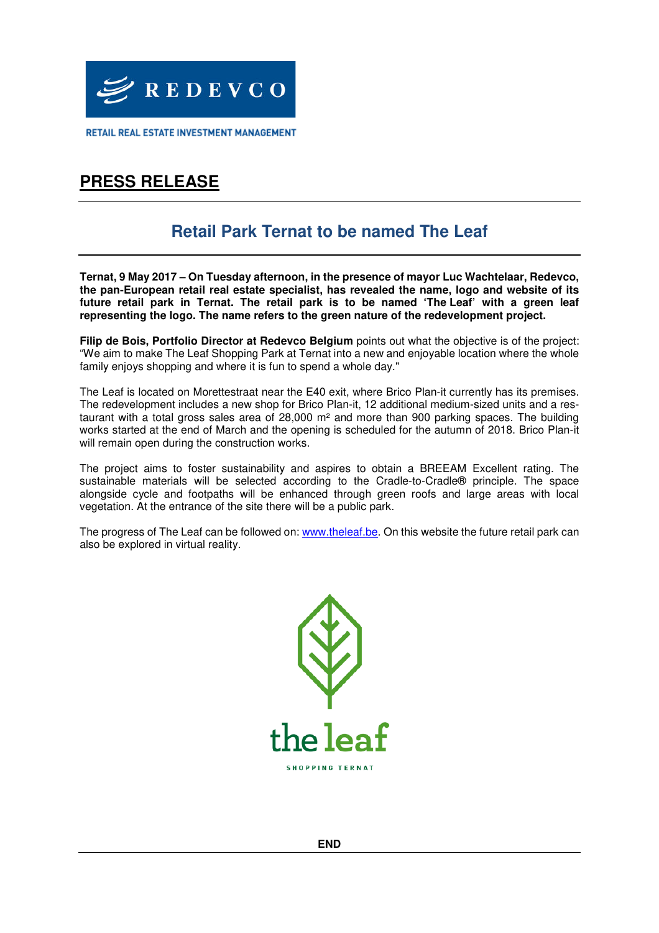

RETAIL REAL ESTATE INVESTMENT MANAGEMENT

# **PRESS RELEASE**

## **Retail Park Ternat to be named The Leaf**

**Ternat, 9 May 2017 – On Tuesday afternoon, in the presence of mayor Luc Wachtelaar, Redevco, the pan-European retail real estate specialist, has revealed the name, logo and website of its future retail park in Ternat. The retail park is to be named 'The Leaf' with a green leaf representing the logo. The name refers to the green nature of the redevelopment project.** 

**Filip de Bois, Portfolio Director at Redevco Belgium** points out what the objective is of the project: "We aim to make The Leaf Shopping Park at Ternat into a new and enjoyable location where the whole family enjoys shopping and where it is fun to spend a whole day."

The Leaf is located on Morettestraat near the E40 exit, where Brico Plan-it currently has its premises. The redevelopment includes a new shop for Brico Plan-it, 12 additional medium-sized units and a restaurant with a total gross sales area of 28,000 m² and more than 900 parking spaces. The building works started at the end of March and the opening is scheduled for the autumn of 2018. Brico Plan-it will remain open during the construction works.

The project aims to foster sustainability and aspires to obtain a BREEAM Excellent rating. The sustainable materials will be selected according to the Cradle-to-Cradle® principle. The space alongside cycle and footpaths will be enhanced through green roofs and large areas with local vegetation. At the entrance of the site there will be a public park.

The progress of The Leaf can be followed on: [www.theleaf.be.](http://www.theleaf.be/) On this website the future retail park can also be explored in virtual reality.